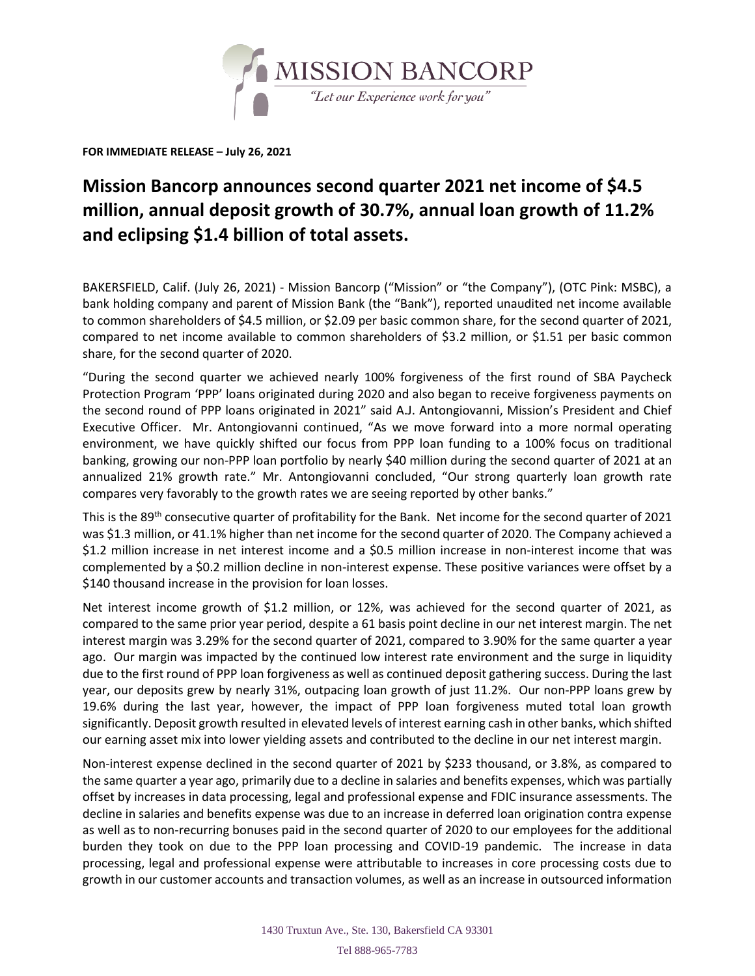

**FOR IMMEDIATE RELEASE – July 26, 2021**

## **Mission Bancorp announces second quarter 2021 net income of \$4.5 million, annual deposit growth of 30.7%, annual loan growth of 11.2% and eclipsing \$1.4 billion of total assets.**

BAKERSFIELD, Calif. (July 26, 2021) - Mission Bancorp ("Mission" or "the Company"), (OTC Pink: MSBC), a bank holding company and parent of Mission Bank (the "Bank"), reported unaudited net income available to common shareholders of \$4.5 million, or \$2.09 per basic common share, for the second quarter of 2021, compared to net income available to common shareholders of \$3.2 million, or \$1.51 per basic common share, for the second quarter of 2020.

"During the second quarter we achieved nearly 100% forgiveness of the first round of SBA Paycheck Protection Program 'PPP' loans originated during 2020 and also began to receive forgiveness payments on the second round of PPP loans originated in 2021" said A.J. Antongiovanni, Mission's President and Chief Executive Officer. Mr. Antongiovanni continued, "As we move forward into a more normal operating environment, we have quickly shifted our focus from PPP loan funding to a 100% focus on traditional banking, growing our non-PPP loan portfolio by nearly \$40 million during the second quarter of 2021 at an annualized 21% growth rate." Mr. Antongiovanni concluded, "Our strong quarterly loan growth rate compares very favorably to the growth rates we are seeing reported by other banks."

This is the 89<sup>th</sup> consecutive quarter of profitability for the Bank. Net income for the second quarter of 2021 was \$1.3 million, or 41.1% higher than net income for the second quarter of 2020. The Company achieved a \$1.2 million increase in net interest income and a \$0.5 million increase in non-interest income that was complemented by a \$0.2 million decline in non-interest expense. These positive variances were offset by a \$140 thousand increase in the provision for loan losses.

Net interest income growth of \$1.2 million, or 12%, was achieved for the second quarter of 2021, as compared to the same prior year period, despite a 61 basis point decline in our net interest margin. The net interest margin was 3.29% for the second quarter of 2021, compared to 3.90% for the same quarter a year ago. Our margin was impacted by the continued low interest rate environment and the surge in liquidity due to the first round of PPP loan forgiveness as well as continued deposit gathering success. During the last year, our deposits grew by nearly 31%, outpacing loan growth of just 11.2%. Our non-PPP loans grew by 19.6% during the last year, however, the impact of PPP loan forgiveness muted total loan growth significantly. Deposit growth resulted in elevated levels of interest earning cash in other banks, which shifted our earning asset mix into lower yielding assets and contributed to the decline in our net interest margin.

Non-interest expense declined in the second quarter of 2021 by \$233 thousand, or 3.8%, as compared to the same quarter a year ago, primarily due to a decline in salaries and benefits expenses, which was partially offset by increases in data processing, legal and professional expense and FDIC insurance assessments. The decline in salaries and benefits expense was due to an increase in deferred loan origination contra expense as well as to non-recurring bonuses paid in the second quarter of 2020 to our employees for the additional burden they took on due to the PPP loan processing and COVID-19 pandemic. The increase in data processing, legal and professional expense were attributable to increases in core processing costs due to growth in our customer accounts and transaction volumes, as well as an increase in outsourced information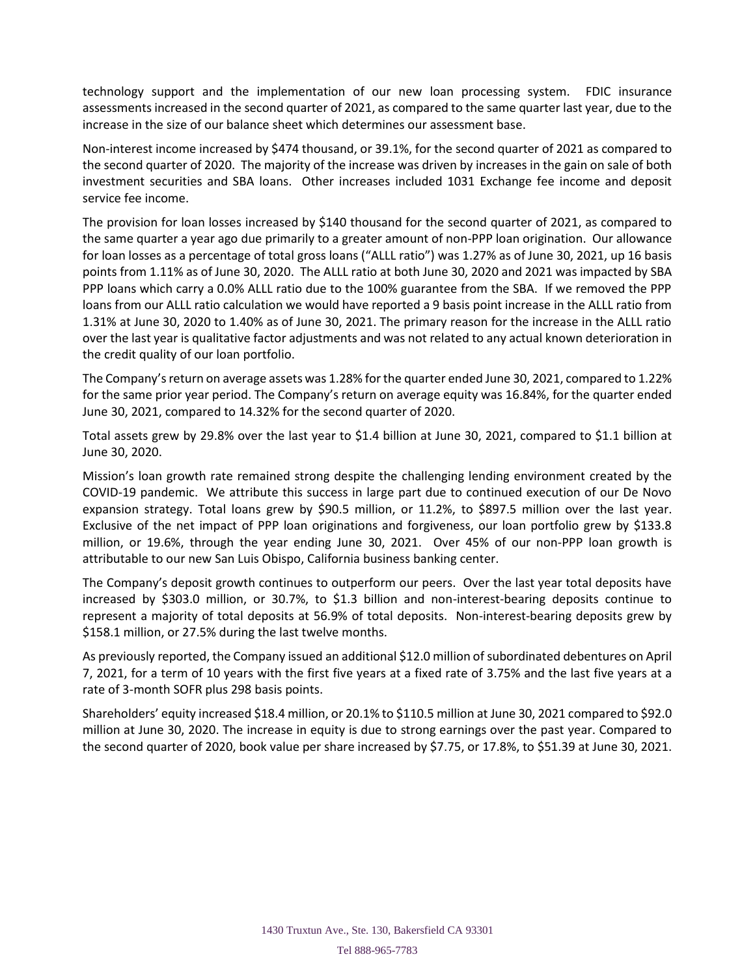technology support and the implementation of our new loan processing system. FDIC insurance assessments increased in the second quarter of 2021, as compared to the same quarter last year, due to the increase in the size of our balance sheet which determines our assessment base.

Non-interest income increased by \$474 thousand, or 39.1%, for the second quarter of 2021 as compared to the second quarter of 2020. The majority of the increase was driven by increases in the gain on sale of both investment securities and SBA loans. Other increases included 1031 Exchange fee income and deposit service fee income.

The provision for loan losses increased by \$140 thousand for the second quarter of 2021, as compared to the same quarter a year ago due primarily to a greater amount of non-PPP loan origination. Our allowance for loan losses as a percentage of total gross loans ("ALLL ratio") was 1.27% as of June 30, 2021, up 16 basis points from 1.11% as of June 30, 2020. The ALLL ratio at both June 30, 2020 and 2021 was impacted by SBA PPP loans which carry a 0.0% ALLL ratio due to the 100% guarantee from the SBA. If we removed the PPP loans from our ALLL ratio calculation we would have reported a 9 basis point increase in the ALLL ratio from 1.31% at June 30, 2020 to 1.40% as of June 30, 2021. The primary reason for the increase in the ALLL ratio over the last year is qualitative factor adjustments and was not related to any actual known deterioration in the credit quality of our loan portfolio.

The Company's return on average assets was 1.28% for the quarter ended June 30, 2021, compared to 1.22% for the same prior year period. The Company's return on average equity was 16.84%, for the quarter ended June 30, 2021, compared to 14.32% for the second quarter of 2020.

Total assets grew by 29.8% over the last year to \$1.4 billion at June 30, 2021, compared to \$1.1 billion at June 30, 2020.

Mission's loan growth rate remained strong despite the challenging lending environment created by the COVID-19 pandemic. We attribute this success in large part due to continued execution of our De Novo expansion strategy. Total loans grew by \$90.5 million, or 11.2%, to \$897.5 million over the last year. Exclusive of the net impact of PPP loan originations and forgiveness, our loan portfolio grew by \$133.8 million, or 19.6%, through the year ending June 30, 2021. Over 45% of our non-PPP loan growth is attributable to our new San Luis Obispo, California business banking center.

The Company's deposit growth continues to outperform our peers. Over the last year total deposits have increased by \$303.0 million, or 30.7%, to \$1.3 billion and non-interest-bearing deposits continue to represent a majority of total deposits at 56.9% of total deposits. Non-interest-bearing deposits grew by \$158.1 million, or 27.5% during the last twelve months.

As previously reported, the Company issued an additional \$12.0 million of subordinated debentures on April 7, 2021, for a term of 10 years with the first five years at a fixed rate of 3.75% and the last five years at a rate of 3-month SOFR plus 298 basis points.

Shareholders' equity increased \$18.4 million, or 20.1% to \$110.5 million at June 30, 2021 compared to \$92.0 million at June 30, 2020. The increase in equity is due to strong earnings over the past year. Compared to the second quarter of 2020, book value per share increased by \$7.75, or 17.8%, to \$51.39 at June 30, 2021.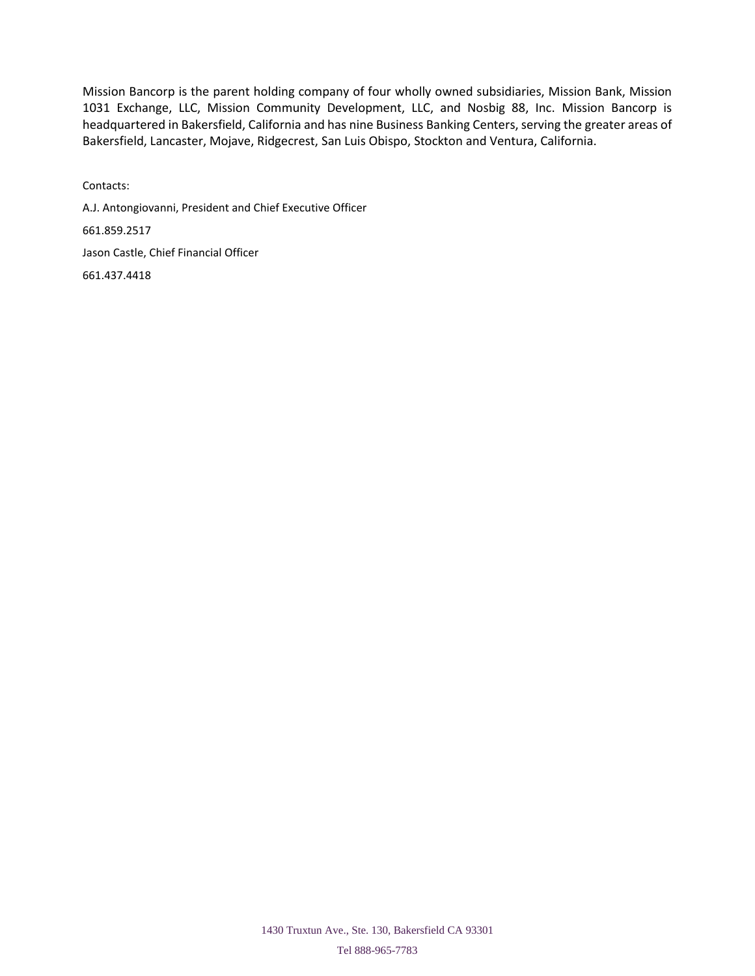Mission Bancorp is the parent holding company of four wholly owned subsidiaries, Mission Bank, Mission 1031 Exchange, LLC, Mission Community Development, LLC, and Nosbig 88, Inc. Mission Bancorp is headquartered in Bakersfield, California and has nine Business Banking Centers, serving the greater areas of Bakersfield, Lancaster, Mojave, Ridgecrest, San Luis Obispo, Stockton and Ventura, California.

Contacts: A.J. Antongiovanni, President and Chief Executive Officer 661.859.2517 Jason Castle, Chief Financial Officer 661.437.4418